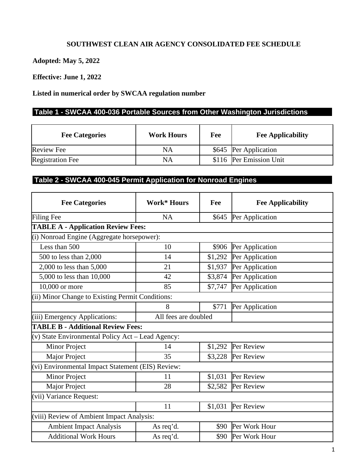## **SOUTHWEST CLEAN AIR AGENCY CONSOLIDATED FEE SCHEDULE**

**Adopted: May 5, 2022**

**Effective: June 1, 2022**

**Listed in numerical order by SWCAA regulation number**

## **Table 1 - SWCAA 400-036 Portable Sources from Other Washington Jurisdictions**

| <b>Fee Categories</b>   | <b>Work Hours</b> | Fee | <b>Fee Applicability</b> |
|-------------------------|-------------------|-----|--------------------------|
| <b>Review Fee</b>       | NA                |     | \$645 Per Application    |
| <b>Registration Fee</b> | NA                |     | \$116 Per Emission Unit  |

## **Table 2 - SWCAA 400-045 Permit Application for Nonroad Engines**

| <b>Fee Categories</b>                             | <b>Work* Hours</b>   | Fee     | <b>Fee Applicability</b> |
|---------------------------------------------------|----------------------|---------|--------------------------|
| <b>Filing Fee</b>                                 | <b>NA</b>            | \$645   | Per Application          |
| <b>TABLE A - Application Review Fees:</b>         |                      |         |                          |
| (i) Nonroad Engine (Aggregate horsepower):        |                      |         |                          |
| Less than 500                                     | 10                   | \$906   | Per Application          |
| 500 to less than 2,000                            | 14                   | \$1,292 | Per Application          |
| 2,000 to less than 5,000                          | 21                   | \$1,937 | Per Application          |
| 5,000 to less than 10,000                         | 42                   | \$3,874 | Per Application          |
| 10,000 or more                                    | 85                   | \$7,747 | Per Application          |
| (ii) Minor Change to Existing Permit Conditions:  |                      |         |                          |
|                                                   | 8                    | \$771   | Per Application          |
| (iii) Emergency Applications:                     | All fees are doubled |         |                          |
| <b>TABLE B - Additional Review Fees:</b>          |                      |         |                          |
| (v) State Environmental Policy Act – Lead Agency: |                      |         |                          |
| Minor Project                                     | 14                   | \$1,292 | Per Review               |
| Major Project                                     | 35                   | \$3,228 | Per Review               |
| (vi) Environmental Impact Statement (EIS) Review: |                      |         |                          |
| Minor Project                                     | 11                   | \$1,031 | Per Review               |
| Major Project                                     | 28                   | \$2,582 | Per Review               |
| (vii) Variance Request:                           |                      |         |                          |
|                                                   | 11                   | \$1,031 | Per Review               |
| (viii) Review of Ambient Impact Analysis:         |                      |         |                          |
| <b>Ambient Impact Analysis</b>                    | As req'd.            | \$90    | Per Work Hour            |
| <b>Additional Work Hours</b>                      | As req'd.            | \$90    | Per Work Hour            |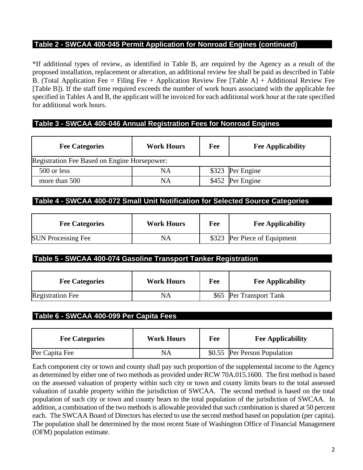## **Table 2 - SWCAA 400-045 Permit Application for Nonroad Engines (continued)**

\*If additional types of review, as identified in Table B, are required by the Agency as a result of the proposed installation, replacement or alteration, an additional review fee shall be paid as described in Table B. (Total Application Fee = Filing Fee + Application Review Fee [Table A] + Additional Review Fee [Table B]). If the staff time required exceeds the number of work hours associated with the applicable fee specified in Tables A and B, the applicant will be invoiced for each additional work hour at the rate specified for additional work hours.

## **Table 3 - SWCAA 400-046 Annual Registration Fees for Nonroad Engines**

| <b>Fee Categories</b>                        | <b>Work Hours</b> | Fee | <b>Fee Applicability</b> |  |  |
|----------------------------------------------|-------------------|-----|--------------------------|--|--|
| Registration Fee Based on Engine Horsepower: |                   |     |                          |  |  |
| 500 or less                                  | NA                |     | \$323 Per Engine         |  |  |
| more than 500                                | NA                |     | \$452 Per Engine         |  |  |

## **Table 4 - SWCAA 400-072 Small Unit Notification for Selected Source Categories**

| <b>Fee Categories</b>     | <b>Work Hours</b> | Fee | <b>Fee Applicability</b>     |
|---------------------------|-------------------|-----|------------------------------|
| <b>SUN Processing Fee</b> | NA                |     | \$323 Per Piece of Equipment |

## **Table 5 - SWCAA 400-074 Gasoline Transport Tanker Registration**

| <b>Fee Categories</b>   | <b>Work Hours</b> | Fee | <b>Fee Applicability</b> |
|-------------------------|-------------------|-----|--------------------------|
| <b>Registration Fee</b> | NA                |     | \$65 Per Transport Tank  |

## **Table 6 - SWCAA 400-099 Per Capita Fees**

| <b>Fee Categories</b> | <b>Work Hours</b> | Fee | <b>Fee Applicability</b>     |
|-----------------------|-------------------|-----|------------------------------|
| Per Capita Fee        | NA                |     | \$0.55 Per Person Population |

Each component city or town and county shall pay such proportion of the supplemental income to the Agency as determined by either one of two methods as provided under RCW 70A.015.1600. The first method is based on the assessed valuation of property within such city or town and county limits bears to the total assessed valuation of taxable property within the jurisdiction of SWCAA. The second method is based on the total population of such city or town and county bears to the total population of the jurisdiction of SWCAA. In addition, a combination of the two methods is allowable provided that such combination is shared at 50 percent each. The SWCAA Board of Directors has elected to use the second method based on population (per capita). The population shall be determined by the most recent State of Washington Office of Financial Management (OFM) population estimate.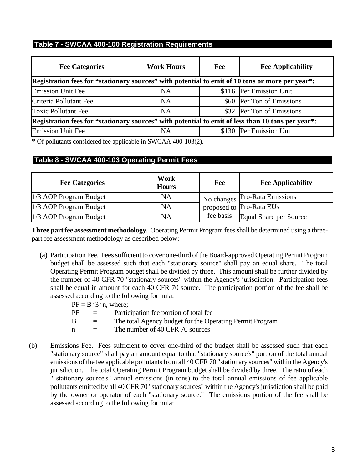## **Table 7 - SWCAA 400-100 Registration Requirements**

| <b>Fee Categories</b>                                                                             | <b>Work Hours</b> | Fee | <b>Fee Applicability</b>  |  |
|---------------------------------------------------------------------------------------------------|-------------------|-----|---------------------------|--|
| Registration fees for "stationary sources" with potential to emit of 10 tons or more per year*:   |                   |     |                           |  |
| <b>Emission Unit Fee</b>                                                                          | <b>NA</b>         |     | \$116 Per Emission Unit   |  |
| Criteria Pollutant Fee                                                                            | <b>NA</b>         |     | \$60 Per Ton of Emissions |  |
| <b>Toxic Pollutant Fee</b>                                                                        | NA                |     | \$32 Per Ton of Emissions |  |
| Registration fees for "stationary sources" with potential to emit of less than 10 tons per year*: |                   |     |                           |  |
| <b>Emission Unit Fee</b>                                                                          | NA                |     | \$130 Per Emission Unit   |  |

\* Of pollutants considered fee applicable in SWCAA 400-103(2).

## **Table 8 - SWCAA 400-103 Operating Permit Fees**

| <b>Fee Categories</b>  | Work<br><b>Hours</b> | Fee       | <b>Fee Applicability</b>        |
|------------------------|----------------------|-----------|---------------------------------|
| 1/3 AOP Program Budget | NA                   |           | I No changes Pro-Rata Emissions |
| 1/3 AOP Program Budget | NA                   |           | proposed to Pro-Rata EUs        |
| 1/3 AOP Program Budget | NA                   | fee basis | Equal Share per Source          |

**Three part fee assessment methodology.** Operating Permit Program fees shall be determined using a threepart fee assessment methodology as described below:

(a) Participation Fee. Fees sufficient to cover one-third of the Board-approved Operating Permit Program budget shall be assessed such that each "stationary source" shall pay an equal share. The total Operating Permit Program budget shall be divided by three. This amount shall be further divided by the number of 40 CFR 70 "stationary sources" within the Agency's jurisdiction. Participation fees shall be equal in amount for each 40 CFR 70 source. The participation portion of the fee shall be assessed according to the following formula:

|    |          | $PF = B \div 3 \div n$ , where;                          |
|----|----------|----------------------------------------------------------|
| PF | $=$      | Participation fee portion of total fee                   |
| -B | $\equiv$ | The total Agency budget for the Operating Permit Program |
| n  | $\equiv$ | The number of 40 CFR 70 sources                          |
|    |          |                                                          |

(b) Emissions Fee. Fees sufficient to cover one-third of the budget shall be assessed such that each "stationary source" shall pay an amount equal to that "stationary source's" portion of the total annual emissions of the fee applicable pollutants from all 40 CFR 70 "stationary sources" within the Agency's jurisdiction. The total Operating Permit Program budget shall be divided by three. The ratio of each " stationary source's" annual emissions (in tons) to the total annual emissions of fee applicable pollutants emitted by all 40 CFR 70 "stationary sources" within the Agency's jurisdiction shall be paid by the owner or operator of each "stationary source." The emissions portion of the fee shall be assessed according to the following formula: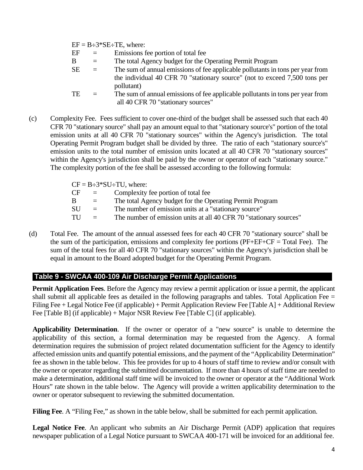$EF = B \div 3*SE \div TE$ , where:

- $EF =$  Emissions fee portion of total fee
- B = The total Agency budget for the Operating Permit Program
- $SE =$  The sum of annual emissions of fee applicable pollutants in tons per year from the individual 40 CFR 70 "stationary source" (not to exceed 7,500 tons per pollutant)
- TE  $=$  The sum of annual emissions of fee applicable pollutants in tons per year from all 40 CFR 70 "stationary sources"
- (c) Complexity Fee. Fees sufficient to cover one-third of the budget shall be assessed such that each 40 CFR 70 "stationary source" shall pay an amount equal to that "stationary source's" portion of the total emission units at all 40 CFR 70 "stationary sources" within the Agency's jurisdiction. The total Operating Permit Program budget shall be divided by three. The ratio of each "stationary source's" emission units to the total number of emission units located at all 40 CFR 70 "stationary sources" within the Agency's jurisdiction shall be paid by the owner or operator of each "stationary source." The complexity portion of the fee shall be assessed according to the following formula:

|           |          | $CF = B \div 3 * SU \div TU$ , where:                              |
|-----------|----------|--------------------------------------------------------------------|
| <b>CF</b> | $\equiv$ | Complexity fee portion of total fee                                |
| -B        | $\equiv$ | The total Agency budget for the Operating Permit Program           |
| -SU       | $=$      | The number of emission units at a "stationary source"              |
| TU        | $\equiv$ | The number of emission units at all 40 CFR 70 "stationary sources" |
|           |          |                                                                    |

(d) Total Fee. The amount of the annual assessed fees for each 40 CFR 70 "stationary source" shall be the sum of the participation, emissions and complexity fee portions (PF+EF+CF = Total Fee). The sum of the total fees for all 40 CFR 70 "stationary sources" within the Agency's jurisdiction shall be equal in amount to the Board adopted budget for the Operating Permit Program.

## **Table 9 - SWCAA 400-109 Air Discharge Permit Applications**

**Permit Application Fees**. Before the Agency may review a permit application or issue a permit, the applicant shall submit all applicable fees as detailed in the following paragraphs and tables. Total Application Fee = Filing Fee + Legal Notice Fee (if applicable) + Permit Application Review Fee [Table A] + Additional Review Fee [Table B] (if applicable) + Major NSR Review Fee [Table C] (if applicable).

**Applicability Determination**. If the owner or operator of a "new source" is unable to determine the applicability of this section, a formal determination may be requested from the Agency. A formal determination requires the submission of project related documentation sufficient for the Agency to identify affected emission units and quantify potential emissions, and the payment of the "Applicability Determination" fee as shown in the table below. This fee provides for up to 4 hours of staff time to review and/or consult with the owner or operator regarding the submitted documentation. If more than 4 hours of staff time are needed to make a determination, additional staff time will be invoiced to the owner or operator at the "Additional Work Hours" rate shown in the table below. The Agency will provide a written applicability determination to the owner or operator subsequent to reviewing the submitted documentation.

**Filing Fee.** A "Filing Fee," as shown in the table below, shall be submitted for each permit application.

**Legal Notice Fee**. An applicant who submits an Air Discharge Permit (ADP) application that requires newspaper publication of a Legal Notice pursuant to SWCAA 400-171 will be invoiced for an additional fee.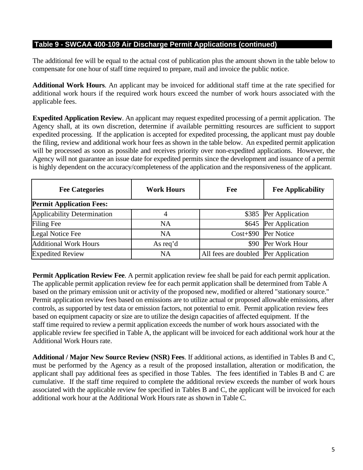The additional fee will be equal to the actual cost of publication plus the amount shown in the table below to compensate for one hour of staff time required to prepare, mail and invoice the public notice.

**Additional Work Hours**. An applicant may be invoiced for additional staff time at the rate specified for additional work hours if the required work hours exceed the number of work hours associated with the applicable fees.

**Expedited Application Review**. An applicant may request expedited processing of a permit application. The Agency shall, at its own discretion, determine if available permitting resources are sufficient to support expedited processing. If the application is accepted for expedited processing, the applicant must pay double the filing, review and additional work hour fees as shown in the table below. An expedited permit application will be processed as soon as possible and receives priority over non-expedited applications. However, the Agency will not guarantee an issue date for expedited permits since the development and issuance of a permit is highly dependent on the accuracy/completeness of the application and the responsiveness of the applicant.

| <b>Fee Categories</b>              | <b>Work Hours</b> | Fee                                  | <b>Fee Applicability</b> |
|------------------------------------|-------------------|--------------------------------------|--------------------------|
| <b>Permit Application Fees:</b>    |                   |                                      |                          |
| <b>Applicability Determination</b> |                   |                                      | \$385 Per Application    |
| Filing Fee                         | <b>NA</b>         |                                      | \$645 Per Application    |
| Legal Notice Fee                   | <b>NA</b>         |                                      | Cost+\$90 Per Notice     |
| <b>Additional Work Hours</b>       | As req'd          |                                      | \$90 Per Work Hour       |
| <b>Expedited Review</b>            | <b>NA</b>         | All fees are doubled Per Application |                          |

**Permit Application Review Fee**. A permit application review fee shall be paid for each permit application. The applicable permit application review fee for each permit application shall be determined from Table A based on the primary emission unit or activity of the proposed new, modified or altered "stationary source." Permit application review fees based on emissions are to utilize actual or proposed allowable emissions, after controls, as supported by test data or emission factors, not potential to emit. Permit application review fees based on equipment capacity or size are to utilize the design capacities of affected equipment. If the staff time required to review a permit application exceeds the number of work hours associated with the applicable review fee specified in Table A, the applicant will be invoiced for each additional work hour at the Additional Work Hours rate.

**Additional / Major New Source Review (NSR) Fees**. If additional actions, as identified in Tables B and C, must be performed by the Agency as a result of the proposed installation, alteration or modification, the applicant shall pay additional fees as specified in those Tables. The fees identified in Tables B and C are cumulative. If the staff time required to complete the additional review exceeds the number of work hours associated with the applicable review fee specified in Tables B and C, the applicant will be invoiced for each additional work hour at the Additional Work Hours rate as shown in Table C.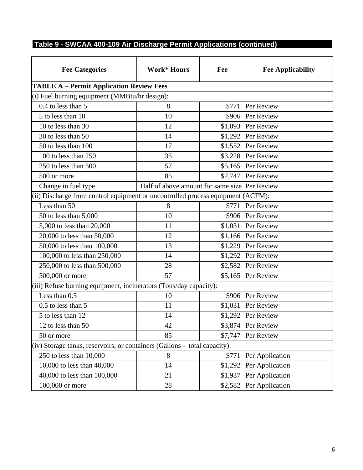| <b>Fee Categories</b>                                                           | <b>Work* Hours</b>                            | Fee     | <b>Fee Applicability</b> |
|---------------------------------------------------------------------------------|-----------------------------------------------|---------|--------------------------|
| <b>TABLE A - Permit Application Review Fees</b>                                 |                                               |         |                          |
| (i) Fuel burning equipment (MMBtu/hr design):                                   |                                               |         |                          |
| $0.4$ to less than 5                                                            | 8                                             | \$771   | Per Review               |
| 5 to less than 10                                                               | 10                                            | \$906   | Per Review               |
| 10 to less than 30                                                              | 12                                            | \$1,093 | Per Review               |
| 30 to less than 50                                                              | 14                                            | \$1,292 | Per Review               |
| 50 to less than 100                                                             | 17                                            |         | \$1,552 Per Review       |
| 100 to less than 250                                                            | 35                                            | \$3,228 | Per Review               |
| 250 to less than 500                                                            | 57                                            | \$5,165 | Per Review               |
| 500 or more                                                                     | 85                                            | \$7,747 | Per Review               |
| Change in fuel type                                                             | Half of above amount for same size Per Review |         |                          |
| (ii) Discharge from control equipment or uncontrolled process equipment (ACFM): |                                               |         |                          |
| Less than 50                                                                    | 8                                             | \$771   | Per Review               |
| 50 to less than 5,000                                                           | 10                                            | \$906   | Per Review               |
| 5,000 to less than 20,000                                                       | 11                                            |         | \$1,031 Per Review       |
| 20,000 to less than 50,000                                                      | 12                                            |         | \$1,166 Per Review       |
| 50,000 to less than 100,000                                                     | 13                                            |         | \$1,229 Per Review       |
| 100,000 to less than 250,000                                                    | 14                                            | \$1,292 | Per Review               |
| 250,000 to less than 500,000                                                    | 28                                            | \$2,582 | Per Review               |
| 500,000 or more                                                                 | 57                                            | \$5,165 | Per Review               |
| (iii) Refuse burning equipment, incinerators (Tons/day capacity):               |                                               |         |                          |
| Less than $0.5$                                                                 | 10                                            | \$906   | Per Review               |
| 0.5 to less than 5                                                              | 11                                            |         | \$1,031 Per Review       |
| 5 to less than 12                                                               | 14                                            | \$1,292 | Per Review               |
| 12 to less than 50                                                              | 42                                            | \$3,874 | Per Review               |
| 50 or more                                                                      | 85                                            | \$7,747 | Per Review               |
| (iv) Storage tanks, reservoirs, or containers (Gallons - total capacity):       |                                               |         |                          |
| 250 to less than 10,000                                                         | 8                                             | \$771   | Per Application          |
| 10,000 to less than 40,000                                                      | 14                                            | \$1,292 | Per Application          |
| 40,000 to less than 100,000                                                     | 21                                            | \$1,937 | Per Application          |
| 100,000 or more                                                                 | 28                                            | \$2,582 | Per Application          |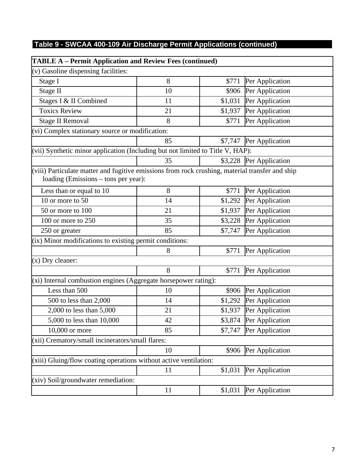| <b>TABLE A</b> – Permit Application and Review Fees (continued)                                                                         |    |         |                         |
|-----------------------------------------------------------------------------------------------------------------------------------------|----|---------|-------------------------|
| (v) Gasoline dispensing facilities:                                                                                                     |    |         |                         |
| Stage I                                                                                                                                 | 8  | \$771   | Per Application         |
| Stage II                                                                                                                                | 10 | \$906   | Per Application         |
| Stages I & II Combined                                                                                                                  | 11 | \$1,031 | Per Application         |
| <b>Toxics Review</b>                                                                                                                    | 21 | \$1,937 | Per Application         |
| <b>Stage II Removal</b>                                                                                                                 | 8  | \$771   | Per Application         |
| (vi) Complex stationary source or modification:                                                                                         |    |         |                         |
|                                                                                                                                         | 85 |         | \$7,747 Per Application |
| (vii) Synthetic minor application (Including but not limited to Title V, HAP):                                                          |    |         |                         |
|                                                                                                                                         | 35 |         | \$3,228 Per Application |
| (viii) Particulate matter and fugitive emissions from rock crushing, material transfer and ship<br>loading (Emissions – tons per year): |    |         |                         |
| Less than or equal to 10                                                                                                                | 8  | \$771   | Per Application         |
| 10 or more to 50                                                                                                                        | 14 | \$1,292 | Per Application         |
| 50 or more to 100                                                                                                                       | 21 | \$1,937 | Per Application         |
| 100 or more to 250                                                                                                                      | 35 | \$3,228 | Per Application         |
| 250 or greater                                                                                                                          | 85 | \$7,747 | Per Application         |
| (ix) Minor modifications to existing permit conditions:                                                                                 |    |         |                         |
|                                                                                                                                         | 8  | \$771   | Per Application         |
| $(x)$ Dry cleaner:                                                                                                                      |    |         |                         |
|                                                                                                                                         | 8  | \$771   | Per Application         |
| (xi) Internal combustion engines (Aggregate horsepower rating):                                                                         |    |         |                         |
| Less than 500                                                                                                                           | 10 | \$906   | Per Application         |
| 500 to less than 2,000                                                                                                                  | 14 | \$1,292 | Per Application         |
| 2,000 to less than 5,000                                                                                                                | 21 | \$1,937 | Per Application         |
| 5,000 to less than 10,000                                                                                                               | 42 |         | \$3,874 Per Application |
| 10,000 or more                                                                                                                          | 85 | \$7,747 | Per Application         |
| (xii) Crematory/small incinerators/small flares:                                                                                        |    |         |                         |
|                                                                                                                                         | 10 | \$906   | Per Application         |
| $(xiii)$ Gluing/flow coating operations without active ventilation:                                                                     |    |         |                         |
|                                                                                                                                         | 11 | \$1,031 | Per Application         |
| (xiv) Soil/groundwater remediation:                                                                                                     |    |         |                         |
|                                                                                                                                         | 11 | \$1,031 | Per Application         |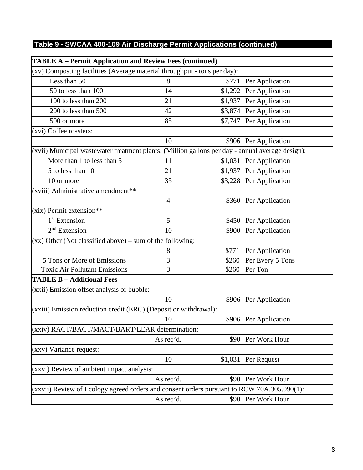| <b>TABLE A - Permit Application and Review Fees (continued)</b>                                  |                |         |                         |  |
|--------------------------------------------------------------------------------------------------|----------------|---------|-------------------------|--|
| (xv) Composting facilities (Average material throughput - tons per day):                         |                |         |                         |  |
| Less than 50                                                                                     | 8              | \$771   | Per Application         |  |
| 50 to less than 100                                                                              | 14             | \$1,292 | Per Application         |  |
| 100 to less than 200                                                                             | 21             | \$1,937 | Per Application         |  |
| 200 to less than 500                                                                             | 42             | \$3,874 | Per Application         |  |
| 500 or more                                                                                      | 85             | \$7,747 | Per Application         |  |
| (xvi) Coffee roasters:                                                                           |                |         |                         |  |
|                                                                                                  | 10             | \$906   | Per Application         |  |
| (xvii) Municipal wastewater treatment plants: (Million gallons per day - annual average design): |                |         |                         |  |
| More than 1 to less than 5                                                                       | 11             | \$1,031 | Per Application         |  |
| 5 to less than 10                                                                                | 21             |         | \$1,937 Per Application |  |
| 10 or more                                                                                       | 35             |         | \$3,228 Per Application |  |
| (xviii) Administrative amendment**                                                               |                |         |                         |  |
|                                                                                                  | $\overline{4}$ | \$360   | Per Application         |  |
| (xix) Permit extension**                                                                         |                |         |                         |  |
| 1 <sup>st</sup> Extension                                                                        | 5              | \$450   | Per Application         |  |
| $2nd$ Extension                                                                                  | 10             | \$900   | Per Application         |  |
| $(xx)$ Other (Not classified above) – sum of the following:                                      |                |         |                         |  |
|                                                                                                  | 8              | \$771   | Per Application         |  |
| 5 Tons or More of Emissions                                                                      | 3              | \$260   | Per Every 5 Tons        |  |
| <b>Toxic Air Pollutant Emissions</b>                                                             | 3              | \$260   | Per Ton                 |  |
| <b>TABLE B - Additional Fees</b>                                                                 |                |         |                         |  |
| (xxii) Emission offset analysis or bubble:                                                       |                |         |                         |  |
|                                                                                                  | 10             | \$906   | Per Application         |  |
| (xxiii) Emission reduction credit (ERC) (Deposit or withdrawal):                                 |                |         |                         |  |
|                                                                                                  | 10             |         | \$906 Per Application   |  |
| (xxiv) RACT/BACT/MACT/BART/LEAR determination:                                                   |                |         |                         |  |
|                                                                                                  | As req'd.      | \$90    | Per Work Hour           |  |
| (xxv) Variance request:                                                                          |                |         |                         |  |
|                                                                                                  | 10             | \$1,031 | Per Request             |  |
| (xxvi) Review of ambient impact analysis:                                                        |                |         |                         |  |
|                                                                                                  | As req'd.      | \$90    | Per Work Hour           |  |
| (xxvii) Review of Ecology agreed orders and consent orders pursuant to RCW 70A.305.090(1):       |                |         |                         |  |
|                                                                                                  | As req'd.      | \$90    | Per Work Hour           |  |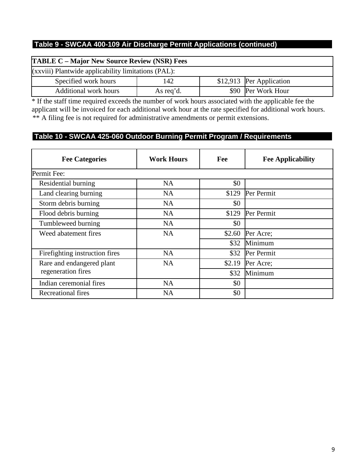| <b>TABLE C – Major New Source Review (NSR) Fees</b> |           |  |                          |  |
|-----------------------------------------------------|-----------|--|--------------------------|--|
| (xxviii) Plantwide applicability limitations (PAL): |           |  |                          |  |
| Specified work hours                                | 142       |  | \$12,913 Per Application |  |
| <b>Additional work hours</b>                        | As req'd. |  | \$90 Per Work Hour       |  |

\* If the staff time required exceeds the number of work hours associated with the applicable fee the applicant will be invoiced for each additional work hour at the rate specified for additional work hours. \*\* A filing fee is not required for administrative amendments or permit extensions.

## **Table 10 - SWCAA 425-060 Outdoor Burning Permit Program / Requirements**

| <b>Fee Categories</b>          | <b>Work Hours</b> | Fee    | <b>Fee Applicability</b> |
|--------------------------------|-------------------|--------|--------------------------|
| Permit Fee:                    |                   |        |                          |
| Residential burning            | NA                | \$0    |                          |
| Land clearing burning          | <b>NA</b>         | \$129  | Per Permit               |
| Storm debris burning           | <b>NA</b>         | \$0    |                          |
| Flood debris burning           | NA                | \$129  | Per Permit               |
| Tumbleweed burning             | <b>NA</b>         | \$0    |                          |
| Weed abatement fires           | <b>NA</b>         | \$2.60 | Per Acre;                |
|                                |                   | \$32   | Minimum                  |
| Firefighting instruction fires | <b>NA</b>         | \$32   | Per Permit               |
| Rare and endangered plant      | <b>NA</b>         | \$2.19 | Per Acre;                |
| regeneration fires             |                   | \$32   | Minimum                  |
| Indian ceremonial fires        | <b>NA</b>         | \$0    |                          |
| Recreational fires             | NA                | \$0    |                          |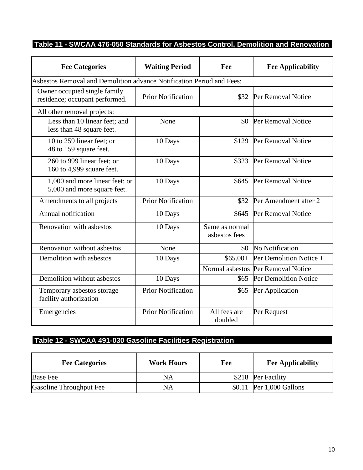## **Table 11 - SWCAA 476-050 Standards for Asbestos Control, Demolition and Renovation**

| <b>Fee Categories</b>                                          | <b>Waiting Period</b>                                                 | Fee                             | <b>Fee Applicability</b>           |  |  |
|----------------------------------------------------------------|-----------------------------------------------------------------------|---------------------------------|------------------------------------|--|--|
|                                                                | Asbestos Removal and Demolition advance Notification Period and Fees: |                                 |                                    |  |  |
| Owner occupied single family<br>residence; occupant performed. | <b>Prior Notification</b>                                             | \$32                            | Per Removal Notice                 |  |  |
| All other removal projects:                                    |                                                                       |                                 |                                    |  |  |
| Less than 10 linear feet; and<br>less than 48 square feet.     | None                                                                  | \$0                             | Per Removal Notice                 |  |  |
| 10 to 259 linear feet; or<br>48 to 159 square feet.            | 10 Days                                                               | \$129                           | Per Removal Notice                 |  |  |
| 260 to 999 linear feet; or<br>160 to 4,999 square feet.        | 10 Days                                                               | \$323                           | Per Removal Notice                 |  |  |
| 1,000 and more linear feet; or<br>5,000 and more square feet.  | 10 Days                                                               | \$645                           | Per Removal Notice                 |  |  |
| Amendments to all projects                                     | <b>Prior Notification</b>                                             | \$32                            | Per Amendment after 2              |  |  |
| Annual notification                                            | 10 Days                                                               | \$645                           | Per Removal Notice                 |  |  |
| Renovation with asbestos                                       | 10 Days                                                               | Same as normal<br>asbestos fees |                                    |  |  |
| Renovation without asbestos                                    | None                                                                  |                                 | \$0 No Notification                |  |  |
| Demolition with asbestos                                       | 10 Days                                                               | $$65.00+$                       | Per Demolition Notice +            |  |  |
|                                                                |                                                                       |                                 | Normal asbestos Per Removal Notice |  |  |
| Demolition without asbestos                                    | 10 Days                                                               | \$65                            | Per Demolition Notice              |  |  |
| Temporary asbestos storage<br>facility authorization           | <b>Prior Notification</b>                                             | \$65                            | Per Application                    |  |  |
| Emergencies                                                    | <b>Prior Notification</b>                                             | All fees are<br>doubled         | Per Request                        |  |  |

## **Table 12 - SWCAA 491-030 Gasoline Facilities Registration**

| <b>Fee Categories</b>   | <b>Work Hours</b> | Fee | <b>Fee Applicability</b>  |
|-------------------------|-------------------|-----|---------------------------|
| <b>Base Fee</b>         | NA                |     | \$218 Per Facility        |
| Gasoline Throughput Fee | NA                |     | $$0.11$ Per 1,000 Gallons |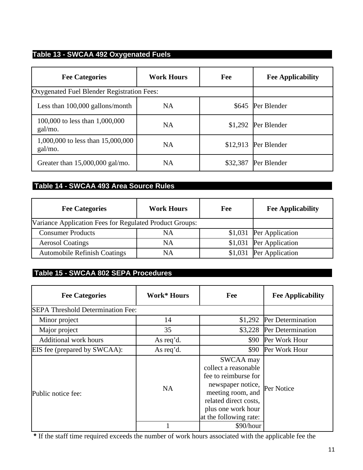# **Table 13 - SWCAA 492 Oxygenated Fuels**

| <b>Fee Categories</b>                        | <b>Work Hours</b> | Fee      | <b>Fee Applicability</b> |
|----------------------------------------------|-------------------|----------|--------------------------|
| Oxygenated Fuel Blender Registration Fees:   |                   |          |                          |
| Less than 100,000 gallons/month              | NA                | \$645    | Per Blender              |
| 100,000 to less than 1,000,000<br>gal/mo.    | NA                |          | \$1,292 Per Blender      |
| 1,000,000 to less than 15,000,000<br>gal/mo. | NA                | \$12,913 | Per Blender              |
| Greater than $15,000,000$ gal/mo.            | NA                | \$32,387 | Per Blender              |

## **Table 14 - SWCAA 493 Area Source Rules**

| <b>Fee Categories</b>                                   | <b>Work Hours</b> | Fee | <b>Fee Applicability</b> |
|---------------------------------------------------------|-------------------|-----|--------------------------|
| Variance Application Fees for Regulated Product Groups: |                   |     |                          |
| <b>Consumer Products</b>                                | NA                |     | \$1,031 Per Application  |
| <b>Aerosol Coatings</b>                                 | NA                |     | \$1,031 Per Application  |
| <b>Automobile Refinish Coatings</b>                     | NA                |     | \$1,031 Per Application  |

# **Table 15 - SWCAA 802 SEPA Procedures**

| <b>Fee Categories</b>                    | Work* Hours | Fee                                                                                                                                                                                     | <b>Fee Applicability</b> |
|------------------------------------------|-------------|-----------------------------------------------------------------------------------------------------------------------------------------------------------------------------------------|--------------------------|
| <b>SEPA Threshold Determination Fee:</b> |             |                                                                                                                                                                                         |                          |
| Minor project                            | 14          | \$1,292                                                                                                                                                                                 | Per Determination        |
| Major project                            | 35          | \$3,228                                                                                                                                                                                 | Per Determination        |
| <b>Additional work hours</b>             | As req'd.   | \$90                                                                                                                                                                                    | Per Work Hour            |
| EIS fee (prepared by SWCAA):             | As req'd.   | \$90                                                                                                                                                                                    | Per Work Hour            |
| Public notice fee:                       | NA.         | SWCAA may<br>collect a reasonable<br>fee to reimburse for<br>newspaper notice, Per Notice<br>meeting room, and<br>related direct costs,<br>plus one work hour<br>at the following rate: |                          |
|                                          |             | \$90/hour                                                                                                                                                                               |                          |

**\*** If the staff time required exceeds the number of work hours associated with the applicable fee the